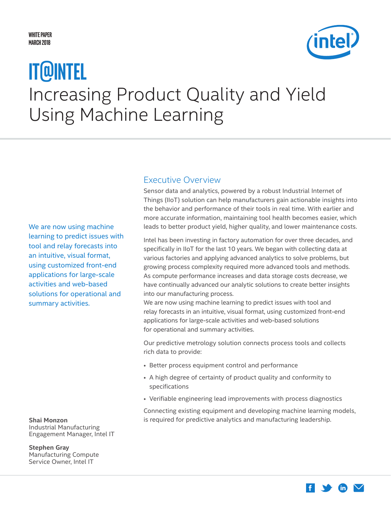#### <span id="page-0-0"></span>**White Paper March 2018**



# Increasing Product Quality and Yield Using Machine Learning **IT@Intel**

We are now using machine learning to predict issues with tool and relay forecasts into an intuitive, visual format, using customized front-end applications for large-scale activities and web-based solutions for operational and summary activities.

**Shai Monzon** Industrial Manufacturing Engagement Manager, Intel IT

**Stephen Gray** Manufacturing Compute Service Owner, Intel IT

#### Executive Overview

Sensor data and analytics, powered by a robust Industrial Internet of Things (IIoT) solution can help manufacturers gain actionable insights into the behavior and performance of their tools in real time. With earlier and more accurate information, maintaining tool health becomes easier, which leads to better product yield, higher quality, and lower maintenance costs.

Intel has been investing in factory automation for over three decades, and specifically in IIoT for the last 10 years. We began with collecting data at various factories and applying advanced analytics to solve problems, but growing process complexity required more advanced tools and methods. As compute performance increases and data storage costs decrease, we have continually advanced our analytic solutions to create better insights into our manufacturing process.

We are now using machine learning to predict issues with tool and relay forecasts in an intuitive, visual format, using customized front-end applications for large-scale activities and web-based solutions for operational and summary activities.

Our predictive metrology solution connects process tools and collects rich data to provide:

- Better process equipment control and performance
- A high degree of certainty of product quality and conformity to specifications
- Verifiable engineering lead improvements with process diagnostics

Connecting existing equipment and developing machine learning models, is required for predictive analytics and manufacturing leadership.

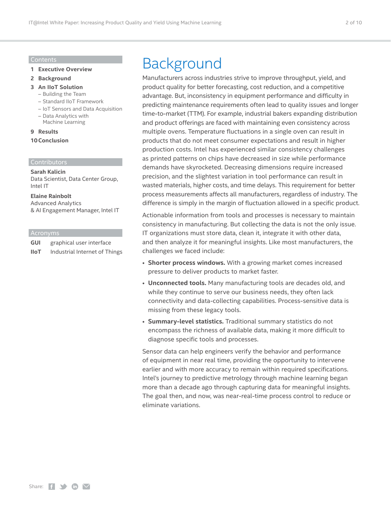#### Contents

- **1 [Executive Overview](#page-0-0)**
- **2 Background**
- **3 [An IIoT Solution](#page-2-0)** 
	- [Building the Team](#page-2-0)
	- [Standard IIoT Framework](#page-4-0)
	- [IoT Sensors and Data Acquisition](#page-5-0)
	- [Data Analytics with](#page-7-0)  [Machine Learning](#page-7-0)
- **9 [Results](#page-8-0)**

#### **[10Conclusion](#page-9-0)**

#### Contributors

#### **Sarah Kalicin**

Data Scientist, Data Center Group, Intel IT

#### **Elaine Rainbolt**

Advanced Analytics & AI Engagement Manager, Intel IT

#### Acronyms

**GUI** graphical user interface

**IIoT** Industrial Internet of Things

## Background

Manufacturers across industries strive to improve throughput, yield, and product quality for better forecasting, cost reduction, and a competitive advantage. But, inconsistency in equipment performance and difficulty in predicting maintenance requirements often lead to quality issues and longer time-to-market (TTM). For example, industrial bakers expanding distribution and product offerings are faced with maintaining even consistency across multiple ovens. Temperature fluctuations in a single oven can result in products that do not meet consumer expectations and result in higher production costs. Intel has experienced similar consistency challenges as printed patterns on chips have decreased in size while performance demands have skyrocketed. Decreasing dimensions require increased precision, and the slightest variation in tool performance can result in wasted materials, higher costs, and time delays. This requirement for better process measurements affects all manufacturers, regardless of industry. The difference is simply in the margin of fluctuation allowed in a specific product.

Actionable information from tools and processes is necessary to maintain consistency in manufacturing. But collecting the data is not the only issue. IT organizations must store data, clean it, integrate it with other data, and then analyze it for meaningful insights. Like most manufacturers, the challenges we faced include:

- **Shorter process windows.** With a growing market comes increased pressure to deliver products to market faster.
- **Unconnected tools.** Many manufacturing tools are decades old, and while they continue to serve our business needs, they often lack connectivity and data-collecting capabilities. Process-sensitive data is missing from these legacy tools.
- **Summary-level statistics.** Traditional summary statistics do not encompass the richness of available data, making it more difficult to diagnose specific tools and processes.

Sensor data can help engineers verify the behavior and performance of equipment in near real time, providing the opportunity to intervene earlier and with more accuracy to remain within required specifications. Intel's journey to predictive metrology through machine learning began more than a decade ago through capturing data for meaningful insights. The goal then, and now, was near-real-time process control to reduce or eliminate variations.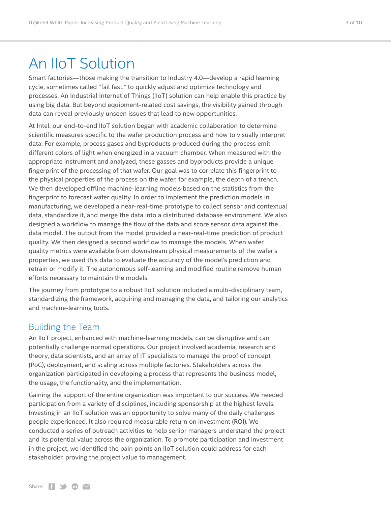### <span id="page-2-0"></span>An IIoT Solution

Smart factories—those making the transition to Industry 4.0—develop a rapid learning cycle, sometimes called "fail fast," to quickly adjust and optimize technology and processes. An Industrial Internet of Things (IIoT) solution can help enable this practice by using big data. But beyond equipment-related cost savings, the visibility gained through data can reveal previously unseen issues that lead to new opportunities.

At Intel, our end-to-end IIoT solution began with academic collaboration to determine scientific measures specific to the wafer production process and how to visually interpret data. For example, process gases and byproducts produced during the process emit different colors of light when energized in a vacuum chamber. When measured with the appropriate instrument and analyzed, these gasses and byproducts provide a unique fingerprint of the processing of that wafer. Our goal was to correlate this fingerprint to the physical properties of the process on the wafer, for example, the depth of a trench. We then developed offline machine-learning models based on the statistics from the fingerprint to forecast wafer quality. In order to implement the prediction models in manufacturing, we developed a near-real-time prototype to collect sensor and contextual data, standardize it, and merge the data into a distributed database environment. We also designed a workflow to manage the flow of the data and score sensor data against the data model. The output from the model provided a near-real-time prediction of product quality. We then designed a second workflow to manage the models. When wafer quality metrics were available from downstream physical measurements of the wafer's properties, we used this data to evaluate the accuracy of the model's prediction and retrain or modify it. The autonomous self-learning and modified routine remove human efforts necessary to maintain the models.

The journey from prototype to a robust IIoT solution included a multi-disciplinary team, standardizing the framework, acquiring and managing the data, and tailoring our analytics and machine-learning tools.

#### Building the Team

An IIoT project, enhanced with machine-learning models, can be disruptive and can potentially challenge normal operations. Our project involved academia, research and theory, data scientists, and an array of IT specialists to manage the proof of concept (PoC), deployment, and scaling across multiple factories. Stakeholders across the organization participated in developing a process that represents the business model, the usage, the functionality, and the implementation.

Gaining the support of the entire organization was important to our success. We needed participation from a variety of disciplines, including sponsorship at the highest levels. Investing in an IIoT solution was an opportunity to solve many of the daily challenges people experienced. It also required measurable return on investment (ROI). We conducted a series of outreach activities to help senior managers understand the project and its potential value across the organization. To promote participation and investment in the project, we identified the pain points an IIoT solution could address for each stakeholder, proving the project value to management.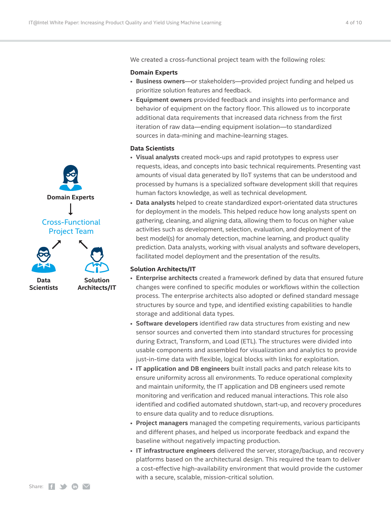We created a cross-functional project team with the following roles:

#### **Domain Experts**

- **Business owners**—or stakeholders—provided project funding and helped us prioritize solution features and feedback.
- **Equipment owners** provided feedback and insights into performance and behavior of equipment on the factory floor. This allowed us to incorporate additional data requirements that increased data richness from the first iteration of raw data—ending equipment isolation—to standardized sources in data-mining and machine-learning stages.

#### **Data Scientists**

- **Visual analysts** created mock-ups and rapid prototypes to express user requests, ideas, and concepts into basic technical requirements. Presenting vast amounts of visual data generated by IIoT systems that can be understood and processed by humans is a specialized software development skill that requires human factors knowledge, as well as technical development.
- **Data analysts** helped to create standardized export-orientated data structures for deployment in the models. This helped reduce how long analysts spent on gathering, cleaning, and aligning data, allowing them to focus on higher value activities such as development, selection, evaluation, and deployment of the best model(s) for anomaly detection, machine learning, and product quality prediction. Data analysts, working with visual analysts and software developers, facilitated model deployment and the presentation of the results.

#### **Solution Architects/IT**

- **Enterprise architects** created a framework defined by data that ensured future changes were confined to specific modules or workflows within the collection process. The enterprise architects also adopted or defined standard message structures by source and type, and identified existing capabilities to handle storage and additional data types.
- **Software developers** identified raw data structures from existing and new sensor sources and converted them into standard structures for processing during Extract, Transform, and Load (ETL). The structures were divided into usable components and assembled for visualization and analytics to provide just-in-time data with flexible, logical blocks with links for exploitation.
- **IT application and DB engineers** built install packs and patch release kits to ensure uniformity across all environments. To reduce operational complexity and maintain uniformity, the IT application and DB engineers used remote monitoring and verification and reduced manual interactions. This role also identified and codified automated shutdown, start-up, and recovery procedures to ensure data quality and to reduce disruptions.
- **Project managers** managed the competing requirements, various participants and different phases, and helped us incorporate feedback and expand the baseline without negatively impacting production.
- **IT infrastructure engineers** delivered the server, storage/backup, and recovery platforms based on the architectural design. This required the team to deliver a cost-effective high-availability environment that would provide the customer with a secure, scalable, mission-critical solution.

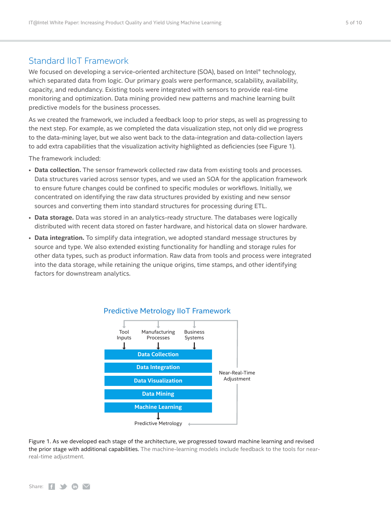### <span id="page-4-0"></span>Standard IIoT Framework

We focused on developing a service-oriented architecture (SOA), based on Intel® technology, which separated data from logic. Our primary goals were performance, scalability, availability, capacity, and redundancy. Existing tools were integrated with sensors to provide real-time monitoring and optimization. Data mining provided new patterns and machine learning built predictive models for the business processes.

As we created the framework, we included a feedback loop to prior steps, as well as progressing to the next step. For example, as we completed the data visualization step, not only did we progress to the data-mining layer, but we also went back to the data-integration and data-collection layers to add extra capabilities that the visualization activity highlighted as deficiencies (see Figure 1).

The framework included:

- **Data collection.** The sensor framework collected raw data from existing tools and processes. Data structures varied across sensor types, and we used an SOA for the application framework to ensure future changes could be confined to specific modules or workflows. Initially, we concentrated on identifying the raw data structures provided by existing and new sensor sources and converting them into standard structures for processing during ETL.
- **Data storage.** Data was stored in an analytics-ready structure. The databases were logically distributed with recent data stored on faster hardware, and historical data on slower hardware.
- **Data integration.** To simplify data integration, we adopted standard message structures by source and type. We also extended existing functionality for handling and storage rules for other data types, such as product information. Raw data from tools and process were integrated into the data storage, while retaining the unique origins, time stamps, and other identifying factors for downstream analytics.



#### Predictive Metrology IIoT Framework

Figure 1. As we developed each stage of the architecture, we progressed toward machine learning and revised the prior stage with additional capabilities. The machine-learning models include feedback to the tools for nearreal-time adjustment.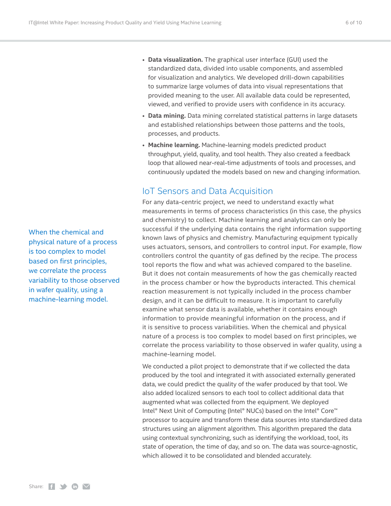When the chemical and physical nature of a process is too complex to model based on first principles, we correlate the process variability to those observed in wafer quality, using a machine-learning model.

- <span id="page-5-0"></span>• **Data visualization.** The graphical user interface (GUI) used the standardized data, divided into usable components, and assembled for visualization and analytics. We developed drill-down capabilities to summarize large volumes of data into visual representations that provided meaning to the user. All available data could be represented, viewed, and verified to provide users with confidence in its accuracy.
- **Data mining.** Data mining correlated statistical patterns in large datasets and established relationships between those patterns and the tools, processes, and products.
- **Machine learning.** Machine-learning models predicted product throughput, yield, quality, and tool health. They also created a feedback loop that allowed near-real-time adjustments of tools and processes, and continuously updated the models based on new and changing information.

#### IoT Sensors and Data Acquisition

For any data-centric project, we need to understand exactly what measurements in terms of process characteristics (in this case, the physics and chemistry) to collect. Machine learning and analytics can only be successful if the underlying data contains the right information supporting known laws of physics and chemistry. Manufacturing equipment typically uses actuators, sensors, and controllers to control input. For example, flow controllers control the quantity of gas defined by the recipe. The process tool reports the flow and what was achieved compared to the baseline. But it does not contain measurements of how the gas chemically reacted in the process chamber or how the byproducts interacted. This chemical reaction measurement is not typically included in the process chamber design, and it can be difficult to measure. It is important to carefully examine what sensor data is available, whether it contains enough information to provide meaningful information on the process, and if it is sensitive to process variabilities. When the chemical and physical nature of a process is too complex to model based on first principles, we correlate the process variability to those observed in wafer quality, using a machine-learning model.

We conducted a pilot project to demonstrate that if we collected the data produced by the tool and integrated it with associated externally generated data, we could predict the quality of the wafer produced by that tool. We also added localized sensors to each tool to collect additional data that augmented what was collected from the equipment. We deployed Intel® Next Unit of Computing (Intel® NUCs) based on the Intel® Core™ processor to acquire and transform these data sources into standardized data structures using an alignment algorithm. This algorithm prepared the data using contextual synchronizing, such as identifying the workload, tool, its state of operation, the time of day, and so on. The data was source-agnostic, which allowed it to be consolidated and blended accurately.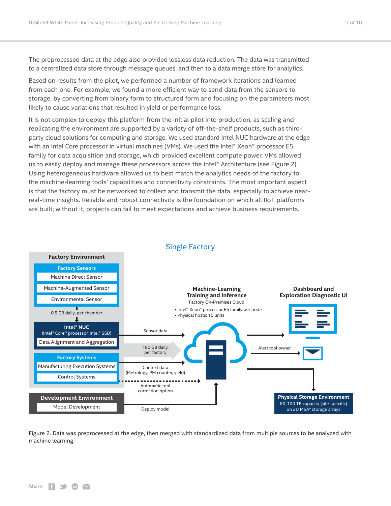The preprocessed data at the edge also provided lossless data reduction. The data was transmitted to a centralized data store through message queues, and then to a data merge store for analytics.

Based on results from the pilot, we performed a number of framework iterations and learned from each one. For example, we found a more efficient way to send data from the sensors to storage, by converting from binary form to structured form and focusing on the parameters most likely to cause variations that resulted in yield or performance loss.

It is not complex to deploy this platform from the initial pilot into production, as scaling and replicating the environment are supported by a variety of off-the-shelf products, such as thirdparty cloud solutions for computing and storage. We used standard Intel NUC hardware at the edge with an Intel Core processor in virtual machines (VMs). We used the Intel® Xeon® processor E5 family for data acquisition and storage, which provided excellent compute power. VMs allowed us to easily deploy and manage these processors across the Intel® Architecture (see Figure 2). Using heterogeneous hardware allowed us to best match the analytics needs of the factory to the machine-learning tools' capabilities and connectivity constraints. The most important aspect is that the factory must be networked to collect and transmit the data, especially to achieve nearreal-time insights. Reliable and robust connectivity is the foundation on which all IIoT platforms are built; without it, projects can fail to meet expectations and achieve business requirements.



#### Single Factory

Figure 2. Data was preprocessed at the edge, then merged with standardized data from multiple sources to be analyzed with machine learning.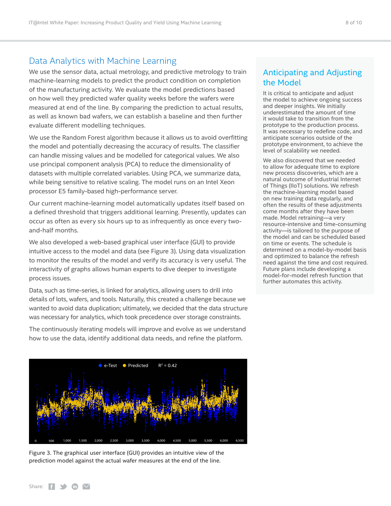### <span id="page-7-0"></span>Data Analytics with Machine Learning

We use the sensor data, actual metrology, and predictive metrology to train machine-learning models to predict the product condition on completion of the manufacturing activity. We evaluate the model predictions based on how well they predicted wafer quality weeks before the wafers were measured at end of the line. By comparing the prediction to actual results, as well as known bad wafers, we can establish a baseline and then further evaluate different modelling techniques.

We use the Random Forest algorithm because it allows us to avoid overfitting the model and potentially decreasing the accuracy of results. The classifier can handle missing values and be modelled for categorical values. We also use principal component analysis (PCA) to reduce the dimensionality of datasets with multiple correlated variables. Using PCA, we summarize data, while being sensitive to relative scaling. The model runs on an Intel Xeon processor E5 family-based high-performance server.

Our current machine-learning model automatically updates itself based on a defined threshold that triggers additional learning. Presently, updates can occur as often as every six hours up to as infrequently as once every twoand-half months.

We also developed a web-based graphical user interface (GUI) to provide intuitive access to the model and data (see Figure 3). Using data visualization to monitor the results of the model and verify its accuracy is very useful. The interactivity of graphs allows human experts to dive deeper to investigate process issues.

Data, such as time-series, is linked for analytics, allowing users to drill into details of lots, wafers, and tools. Naturally, this created a challenge because we wanted to avoid data duplication; ultimately, we decided that the data structure was necessary for analytics, which took precedence over storage constraints.

The continuously iterating models will improve and evolve as we understand how to use the data, identify additional data needs, and refine the platform.



Figure 3. The graphical user interface (GUI) provides an intuitive view of the prediction model against the actual wafer measures at the end of the line.

### Anticipating and Adjusting the Model

It is critical to anticipate and adjust the model to achieve ongoing success and deeper insights. We initially underestimated the amount of time it would take to transition from the prototype to the production process. It was necessary to redefine code, and anticipate scenarios outside of the prototype environment, to achieve the level of scalability we needed.

We also discovered that we needed to allow for adequate time to explore new process discoveries, which are a natural outcome of Industrial Internet of Things (IIoT) solutions. We refresh the machine-learning model based on new training data regularly, and often the results of these adjustments come months after they have been made. Model retraining—a very resource-intensive and time-consuming activity—is tailored to the purpose of the model and can be scheduled based on time or events. The schedule is determined on a model-by-model basis and optimized to balance the refresh need against the time and cost required. Future plans include developing a model-for-model refresh function that further automates this activity.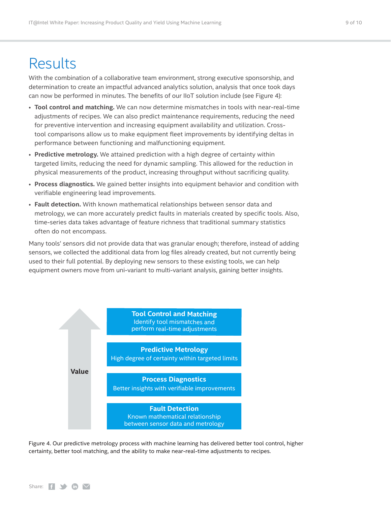## <span id="page-8-0"></span>**Results**

With the combination of a collaborative team environment, strong executive sponsorship, and determination to create an impactful advanced analytics solution, analysis that once took days can now be performed in minutes. The benefits of our IIoT solution include (see Figure 4):

- **Tool control and matching.** We can now determine mismatches in tools with near-real-time adjustments of recipes. We can also predict maintenance requirements, reducing the need for preventive intervention and increasing equipment availability and utilization. Crosstool comparisons allow us to make equipment fleet improvements by identifying deltas in performance between functioning and malfunctioning equipment.
- **Predictive metrology.** We attained prediction with a high degree of certainty within targeted limits, reducing the need for dynamic sampling. This allowed for the reduction in physical measurements of the product, increasing throughput without sacrificing quality.
- **Process diagnostics.** We gained better insights into equipment behavior and condition with verifiable engineering lead improvements.
- **Fault detection.** With known mathematical relationships between sensor data and metrology, we can more accurately predict faults in materials created by specific tools. Also, time-series data takes advantage of feature richness that traditional summary statistics often do not encompass.

Many tools' sensors did not provide data that was granular enough; therefore, instead of adding sensors, we collected the additional data from log files already created, but not currently being used to their full potential. By deploying new sensors to these existing tools, we can help equipment owners move from uni-variant to multi-variant analysis, gaining better insights.



Figure 4. Our predictive metrology process with machine learning has delivered better tool control, higher certainty, better tool matching, and the ability to make near-real-time adjustments to recipes.